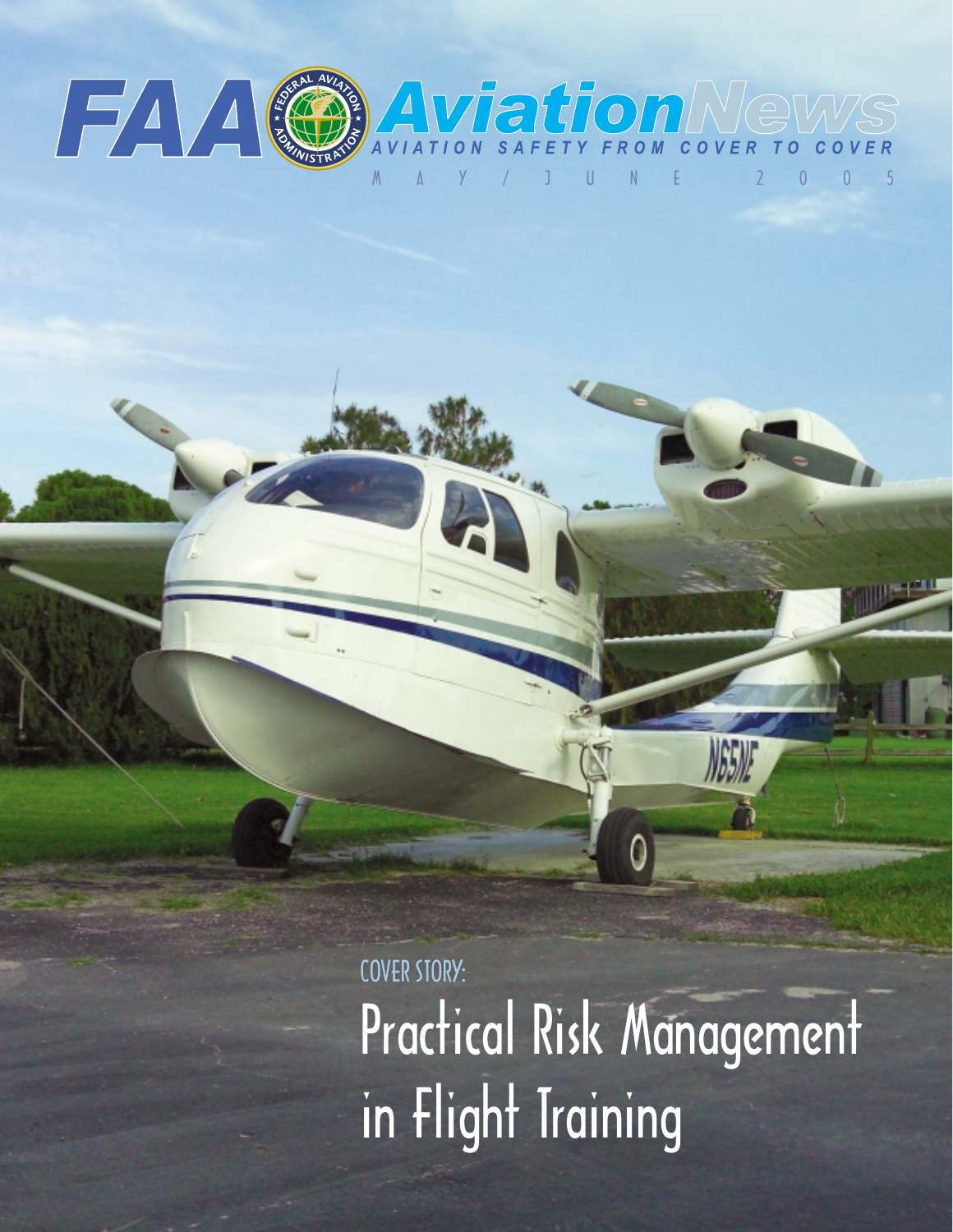

COVER STORY: Practical Risk Management in Flight Training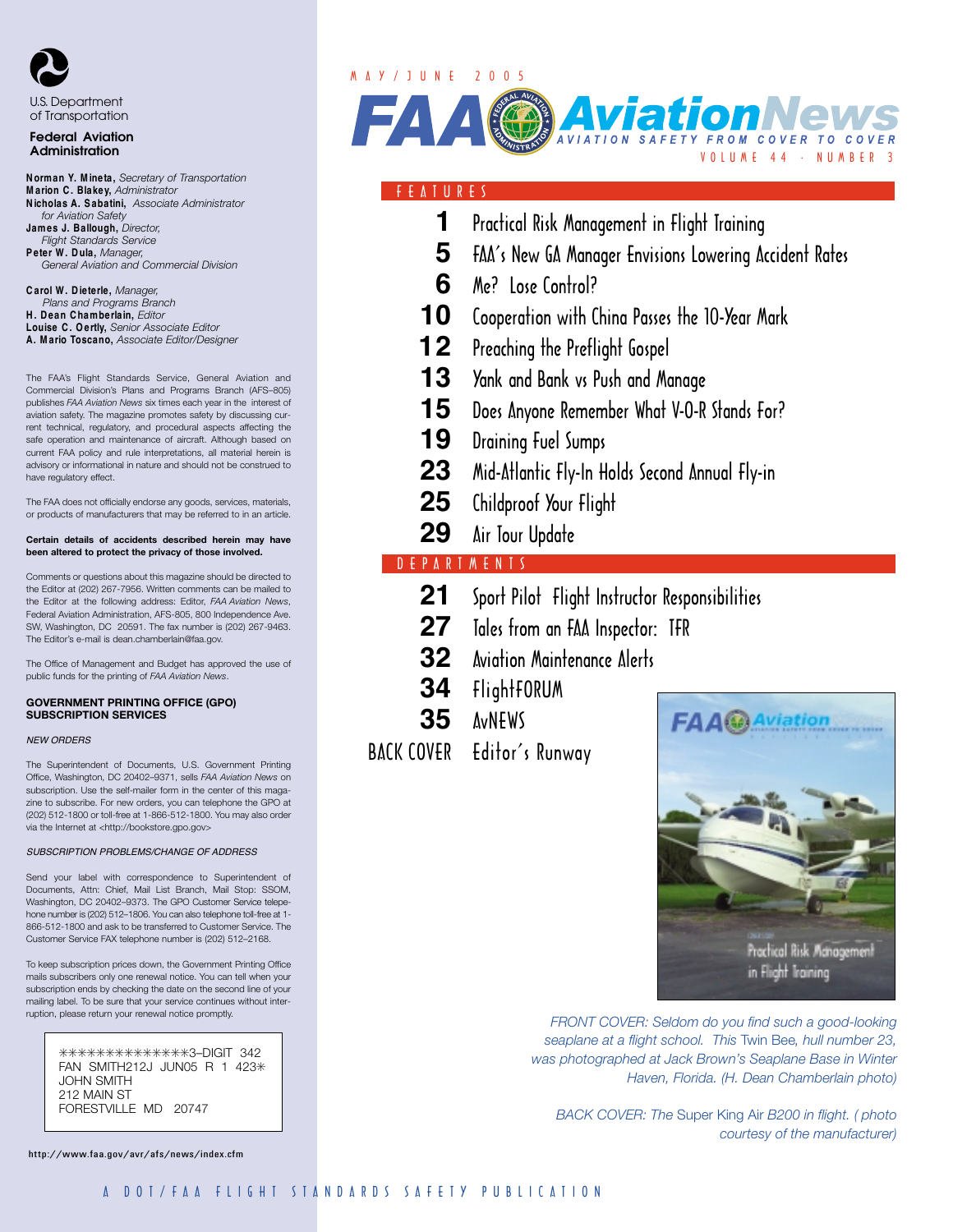

# of Transportation

#### Federal Aviation Administration

- **N orman Y. M ineta,** *Secretary of Transportation* **M arion C . Blakey,** *Administrator* **N icholas A. S abatini,** *Associate Administrator for Aviation Safety* **James J. Ballough,** *Director, Flight Standards Service* **P eter W . D ula,** *Manager, General Aviation and Commercial Division*
- **C arol W . D ieterle,** *Manager, Plans and Programs Branch*  **H . D ean C hamberlain,** *Editor* **Louise C . O ertly,** *Senior Associate Editor* **A. M ario Toscano,** *Associate Editor/Designer*

The FAA's Flight Standards Service, General Aviation and Commercial Division's Plans and Programs Branch (AFS–805) publishes *FAA Aviation News* six times each year in the interest of aviation safety. The magazine promotes safety by discussing current technical, regulatory, and procedural aspects affecting the safe operation and maintenance of aircraft. Although based on current FAA policy and rule interpretations, all material herein is advisory or informational in nature and should not be construed to have regulatory effect.

The FAA does not officially endorse any goods, services, materials, or products of manufacturers that may be referred to in an article.

#### **Certain details of accidents described herein may have been altered to protect the privacy of those involved.**

Comments or questions about this magazine should be directed to the Editor at (202) 267-7956. Written comments can be mailed to the Editor at the following address: Editor, *FAA Aviation News*, Federal Aviation Administration, AFS-805, 800 Independence Ave. SW, Washington, DC 20591. The fax number is (202) 267-9463. The Editor's e-mail is dean.chamberlain@faa.gov.

The Office of Management and Budget has approved the use of public funds for the printing of *FAA Aviation News*.

#### **GOVERNMENT PRINTING OFFICE (GPO) SUBSCRIPTION SERVICES**

#### *NEW ORDERS*

The Superintendent of Documents, U.S. Government Printing Office, Washington, DC 20402–9371, sells *FAA Aviation News* on subscription. Use the self-mailer form in the center of this magazine to subscribe. For new orders, you can telephone the GPO at (202) 512-1800 or toll-free at 1-866-512-1800. You may also order via the Internet at <http://bookstore.gpo.gov>

#### *SUBSCRIPTION PROBLEMS/CHANGE OF ADDRESS*

Send your label with correspondence to Superintendent of Documents, Attn: Chief, Mail List Branch, Mail Stop: SSOM, Washington, DC 20402–9373. The GPO Customer Service telepehone number is (202) 512–1806. You can also telephone toll-free at 1- 866-512-1800 and ask to be transferred to Customer Service. The Customer Service FAX telephone number is (202) 512–2168.

To keep subscription prices down, the Government Printing Office mails subscribers only one renewal notice. You can tell when your subscription ends by checking the date on the second line of your mailing label. To be sure that your service continues without interruption, please return your renewal notice promptly.

> ✳✳✳✳✳✳✳✳✳✳✳✳✳✳3–DIGIT 342 FAN SMITH212J JUN05 R 1 423\* JOHN SMITH 212 MAIN ST FORESTVILLE MD 20747

http://www.faa.gov/avr/afs/news/index.cfm

# M A Y / J U N E 2 0 0 5



### F E A T U R E S

- **1** Practical Risk Management in Flight Training
- **5** FAA's New GA Manager Envisions Lowering Accident Rates
- **6** Me? Lose Control?
- **10** Cooperation with China Passes the 10-Year Mark
- **12** Preaching the Preflight Gospel
- **13** Yank and Bank vs Push and Manage
- 15 Does Anyone Remember What V-O-R Stands For?
- **19** Draining Fuel Sumps
- **23** Mid-Atlantic Fly-In Holds Second Annual Fly-in
- 25 Childproof Your Flight
- 29 Air Tour Update

# D E P A R T M E N T S

- **21** Sport Pilot Flight Instructor Responsibilities
- **27** Tales from an FAA Inspector: TFR
- **32** Aviation Maintenance Alerts
- **34** FlightFORUM
- **35** AvNEWS
- BACK COVER Editor's Runway



*FRONT COVER: Seldom do you find such a good-looking seaplane at a flight school. This* Twin Bee*, hull number 23, was photographed at Jack Brown's Seaplane Base in Winter Haven, Florida. (H. Dean Chamberlain photo)* 

*BACK COVER: The* Super King Air *B200 in flight. ( photo courtesy of the manufacturer)*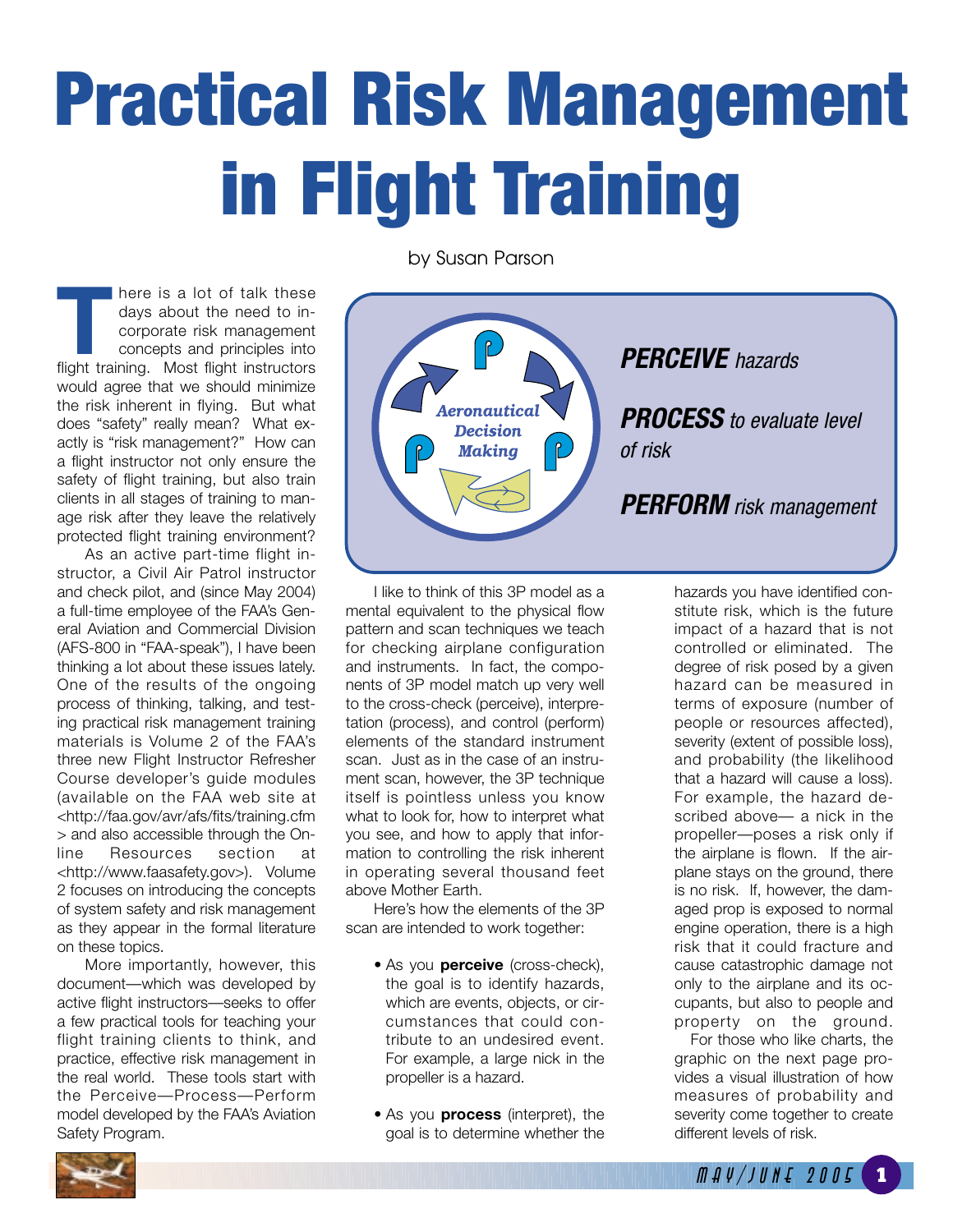# Practical Risk Management in Flight Training

**THERE IS A lot of talk these**<br>days about the need to in-<br>corporate risk management<br>concepts and principles into<br>flight training. Most flight instructors days about the need to incorporate risk management concepts and principles into would agree that we should minimize the risk inherent in flying. But what does "safety" really mean? What exactly is "risk management?" How can a flight instructor not only ensure the safety of flight training, but also train clients in all stages of training to manage risk after they leave the relatively protected flight training environment?

As an active part-time flight instructor, a Civil Air Patrol instructor and check pilot, and (since May 2004) a full-time employee of the FAA's General Aviation and Commercial Division (AFS-800 in "FAA-speak"), I have been thinking a lot about these issues lately. One of the results of the ongoing process of thinking, talking, and testing practical risk management training materials is Volume 2 of the FAA's three new Flight Instructor Refresher Course developer's guide modules (available on the FAA web site at <http://faa.gov/avr/afs/fits/training.cfm > and also accessible through the Online Resources section at <http://www.faasafety.gov>). Volume 2 focuses on introducing the concepts of system safety and risk management as they appear in the formal literature on these topics.

More importantly, however, this document—which was developed by active flight instructors—seeks to offer a few practical tools for teaching your flight training clients to think, and practice, effective risk management in the real world. These tools start with the Perceive—Process—Perform model developed by the FAA's Aviation Safety Program.

by Susan Parson



I like to think of this 3P model as a mental equivalent to the physical flow pattern and scan techniques we teach for checking airplane configuration and instruments. In fact, the components of 3P model match up very well to the cross-check (perceive), interpretation (process), and control (perform) elements of the standard instrument scan. Just as in the case of an instrument scan, however, the 3P technique itself is pointless unless you know what to look for, how to interpret what you see, and how to apply that information to controlling the risk inherent in operating several thousand feet above Mother Earth.

Here's how the elements of the 3P scan are intended to work together:

- As you **perceive** (cross-check), the goal is to identify hazards, which are events, objects, or circumstances that could contribute to an undesired event. For example, a large nick in the propeller is a hazard.
- As you **process** (interpret), the goal is to determine whether the

hazards you have identified constitute risk, which is the future impact of a hazard that is not controlled or eliminated. The degree of risk posed by a given hazard can be measured in terms of exposure (number of people or resources affected), severity (extent of possible loss), and probability (the likelihood that a hazard will cause a loss). For example, the hazard described above— a nick in the propeller—poses a risk only if the airplane is flown. If the airplane stays on the ground, there is no risk. If, however, the damaged prop is exposed to normal engine operation, there is a high risk that it could fracture and cause catastrophic damage not only to the airplane and its occupants, but also to people and property on the ground.

For those who like charts, the graphic on the next page provides a visual illustration of how measures of probability and severity come together to create different levels of risk.

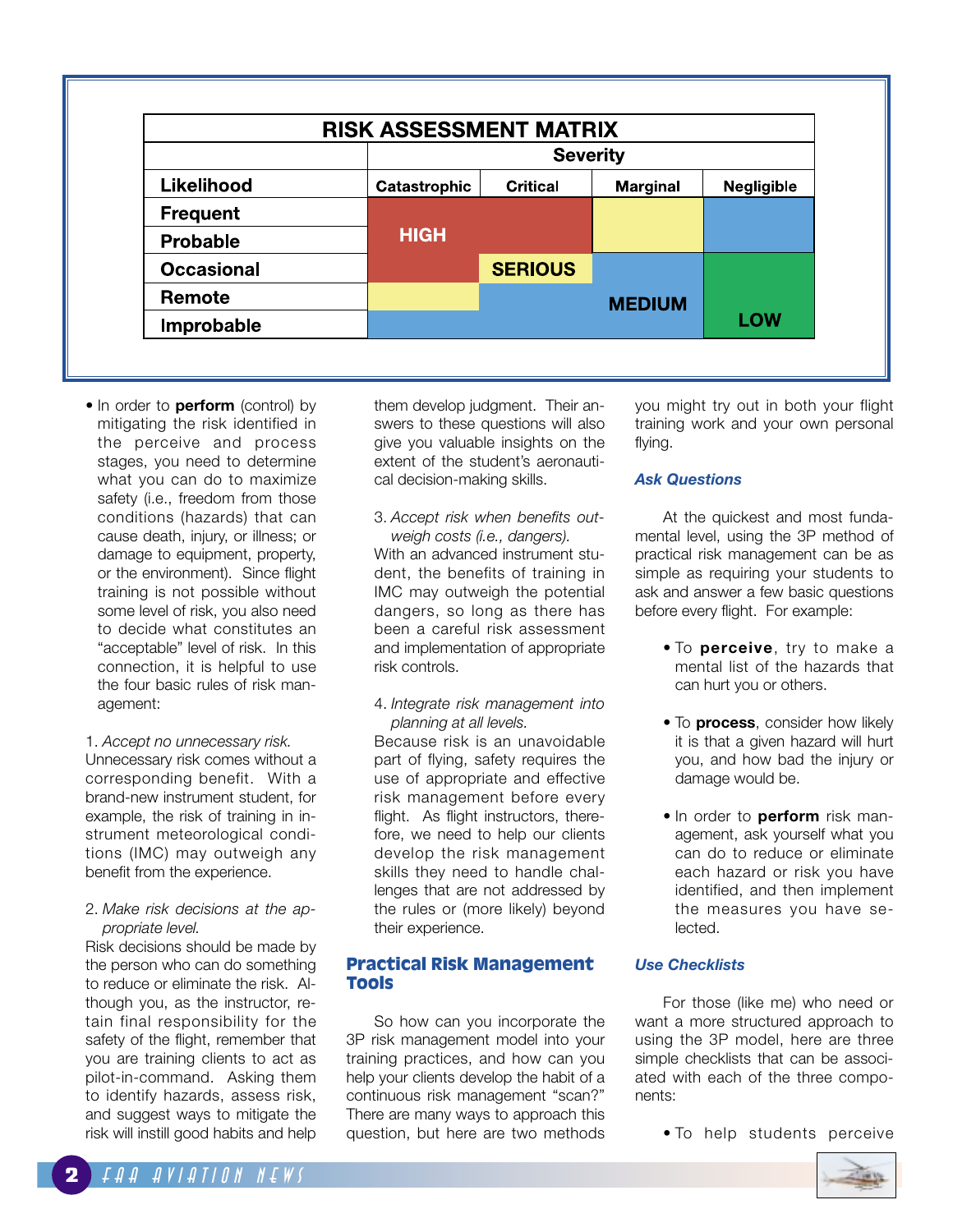| <b>RISK ASSESSMENT MATRIX</b> |              |                 |                 |                   |  |
|-------------------------------|--------------|-----------------|-----------------|-------------------|--|
|                               |              | <b>Severity</b> |                 |                   |  |
| Likelihood                    | Catastrophic | <b>Critical</b> | <b>Marginal</b> | <b>Negligible</b> |  |
| <b>Frequent</b>               |              |                 |                 |                   |  |
| <b>Probable</b>               | <b>HIGH</b>  |                 |                 |                   |  |
| <b>Occasional</b>             |              | <b>SERIOUS</b>  |                 |                   |  |
| Remote                        |              |                 | <b>MEDIUM</b>   |                   |  |
| Improbable                    |              |                 |                 | <b>LOW</b>        |  |

• In order to **perform** (control) by mitigating the risk identified in the perceive and process stages, you need to determine what you can do to maximize safety (i.e., freedom from those conditions (hazards) that can cause death, injury, or illness; or damage to equipment, property, or the environment). Since flight training is not possible without some level of risk, you also need to decide what constitutes an "acceptable" level of risk. In this connection, it is helpful to use the four basic rules of risk management:

#### 1. *Accept no unnecessary risk.*

Unnecessary risk comes without a corresponding benefit. With a brand-new instrument student, for example, the risk of training in instrument meteorological conditions (IMC) may outweigh any benefit from the experience.

#### 2. *Make risk decisions at the appropriate level.*

Risk decisions should be made by the person who can do something to reduce or eliminate the risk. Although you, as the instructor, retain final responsibility for the safety of the flight, remember that you are training clients to act as pilot-in-command. Asking them to identify hazards, assess risk, and suggest ways to mitigate the risk will instill good habits and help

them develop judgment. Their answers to these questions will also give you valuable insights on the extent of the student's aeronautical decision-making skills.

- 3. *Accept risk when benefits outweigh costs (i.e., dangers).*  With an advanced instrument student, the benefits of training in IMC may outweigh the potential dangers, so long as there has been a careful risk assessment and implementation of appropriate risk controls.
- 4. *Integrate risk management into planning at all levels.*

Because risk is an unavoidable part of flying, safety requires the use of appropriate and effective risk management before every flight. As flight instructors, therefore, we need to help our clients develop the risk management skills they need to handle challenges that are not addressed by the rules or (more likely) beyond their experience.

### **Practical Risk Management Tools**

So how can you incorporate the 3P risk management model into your training practices, and how can you help your clients develop the habit of a continuous risk management "scan?" There are many ways to approach this question, but here are two methods you might try out in both your flight training work and your own personal flying.

## *Ask Questions*

At the quickest and most fundamental level, using the 3P method of practical risk management can be as simple as requiring your students to ask and answer a few basic questions before every flight. For example:

- To **perceive**, try to make a mental list of the hazards that can hurt you or others.
- To **process**, consider how likely it is that a given hazard will hurt you, and how bad the injury or damage would be.
- In order to **perform** risk management, ask yourself what you can do to reduce or eliminate each hazard or risk you have identified, and then implement the measures you have selected.

### *Use Checklists*

For those (like me) who need or want a more structured approach to using the 3P model, here are three simple checklists that can be associated with each of the three components:

• To help students perceive

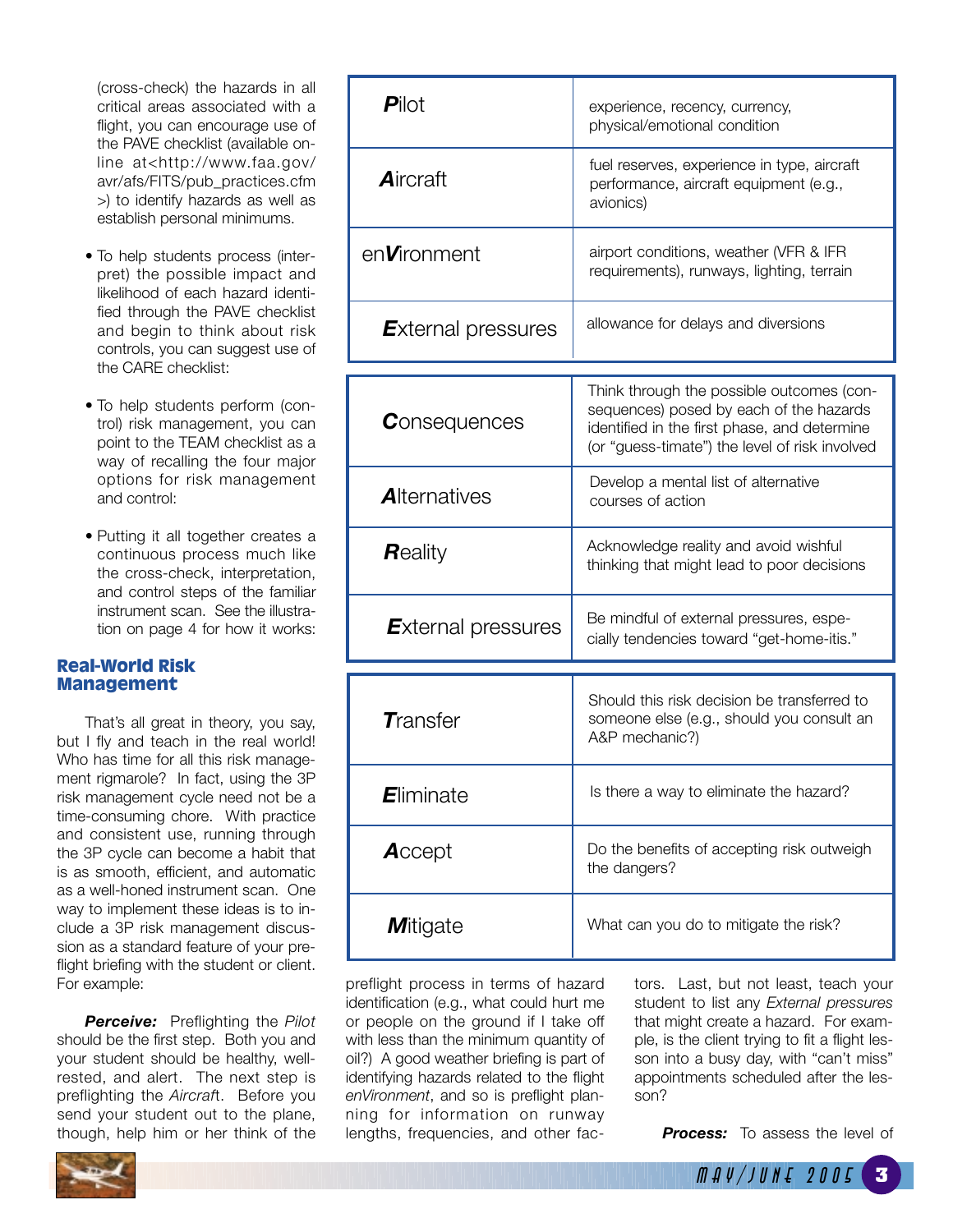(cross-check) the hazards in all critical areas associated with a flight, you can encourage use of the PAVE checklist (available online at<http://www.faa.gov/ avr/afs/FITS/pub\_practices.cfm >) to identify hazards as well as establish personal minimums.

- To help students process (interpret) the possible impact and likelihood of each hazard identified through the PAVE checklist and begin to think about risk controls, you can suggest use of the CARE checklist:
- To help students perform (control) risk management, you can point to the TEAM checklist as a way of recalling the four major options for risk management and control:
- Putting it all together creates a continuous process much like the cross-check, interpretation, and control steps of the familiar instrument scan. See the illustration on page 4 for how it works:

#### **Real-World Risk Management**

That's all great in theory, you say, but I fly and teach in the real world! Who has time for all this risk management rigmarole? In fact, using the 3P risk management cycle need not be a time-consuming chore. With practice and consistent use, running through the 3P cycle can become a habit that is as smooth, efficient, and automatic as a well-honed instrument scan. One way to implement these ideas is to include a 3P risk management discussion as a standard feature of your preflight briefing with the student or client. For example:

*Perceive:* Preflighting the *Pilot* should be the first step. Both you and your student should be healthy, wellrested, and alert. The next step is preflighting the *Aircraf*t. Before you send your student out to the plane, though, help him or her think of the

| <b>Pilot</b>              | experience, recency, currency,<br>physical/emotional condition                                                                                                                         |  |  |
|---------------------------|----------------------------------------------------------------------------------------------------------------------------------------------------------------------------------------|--|--|
| Aircraft                  | fuel reserves, experience in type, aircraft<br>performance, aircraft equipment (e.g.,<br>avionics)                                                                                     |  |  |
| en <b>V</b> ironment      | airport conditions, weather (VFR & IFR<br>requirements), runways, lighting, terrain                                                                                                    |  |  |
| <b>External pressures</b> | allowance for delays and diversions                                                                                                                                                    |  |  |
| <b>C</b> onsequences      | Think through the possible outcomes (con-<br>sequences) posed by each of the hazards<br>identified in the first phase, and determine<br>(or "guess-timate") the level of risk involved |  |  |
| <b>Alternatives</b>       | Develop a mental list of alternative<br>courses of action                                                                                                                              |  |  |
| <b>R</b> eality           | Acknowledge reality and avoid wishful<br>thinking that might lead to poor decisions                                                                                                    |  |  |
| <b>External pressures</b> | Be mindful of external pressures, espe-<br>cially tendencies toward "get-home-itis."                                                                                                   |  |  |
| $\tau$ ransfer            | Should this risk decision be transferred to<br>someone else (e.g., should you consult an<br>A&P mechanic?)                                                                             |  |  |
| Eliminate                 | Is there a way to eliminate the hazard?                                                                                                                                                |  |  |
| Accept                    | Do the benefits of accepting risk outweigh<br>the dangers?                                                                                                                             |  |  |
| <b>M</b> itigate          | What can you do to mitigate the risk?                                                                                                                                                  |  |  |

preflight process in terms of hazard identification (e.g., what could hurt me or people on the ground if I take off with less than the minimum quantity of oil?) A good weather briefing is part of identifying hazards related to the flight *enVironment*, and so is preflight planning for information on runway lengths, frequencies, and other factors. Last, but not least, teach your student to list any *External pressures* that might create a hazard. For example, is the client trying to fit a flight lesson into a busy day, with "can't miss" appointments scheduled after the lesson?

**Process:** To assess the level of

<sup>M</sup> <sup>A</sup> <sup>Y</sup> / <sup>J</sup> <sup>U</sup> <sup>N</sup> <sup>E</sup> <sup>2</sup> <sup>0</sup> <sup>0</sup> <sup>5</sup> **3**

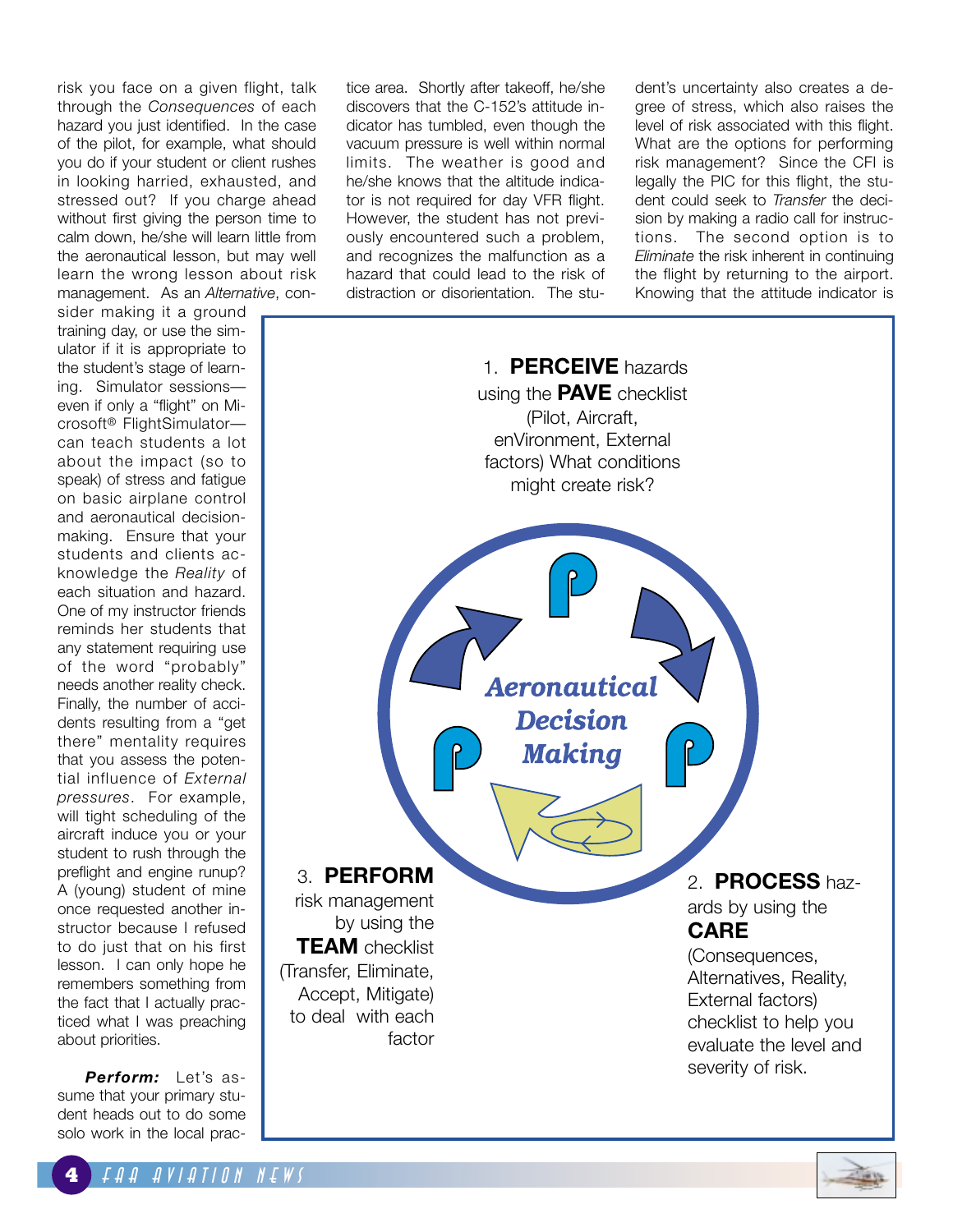risk you face on a given flight, talk through the *Consequences* of each hazard you just identified. In the case of the pilot, for example, what should you do if your student or client rushes in looking harried, exhausted, and stressed out? If you charge ahead without first giving the person time to calm down, he/she will learn little from the aeronautical lesson, but may well learn the wrong lesson about risk management. As an *Alternative*, con-

sider making it a ground training day, or use the simulator if it is appropriate to the student's stage of learning. Simulator sessions even if only a "flight" on Microsoft® FlightSimulator can teach students a lot about the impact (so to speak) of stress and fatigue on basic airplane control and aeronautical decisionmaking. Ensure that your students and clients acknowledge the *Reality* of each situation and hazard. One of my instructor friends reminds her students that any statement requiring use of the word "probably" needs another reality check. Finally, the number of accidents resulting from a "get there" mentality requires that you assess the potential influence of *External pressures*. For example, will tight scheduling of the aircraft induce you or your student to rush through the preflight and engine runup? A (young) student of mine once requested another instructor because I refused to do just that on his first lesson. I can only hope he remembers something from the fact that I actually practiced what I was preaching about priorities.

*Perform:* Let's assume that your primary student heads out to do some solo work in the local practice area. Shortly after takeoff, he/she discovers that the C-152's attitude indicator has tumbled, even though the vacuum pressure is well within normal limits. The weather is good and he/she knows that the altitude indicator is not required for day VFR flight. However, the student has not previously encountered such a problem, and recognizes the malfunction as a hazard that could lead to the risk of distraction or disorientation. The student's uncertainty also creates a degree of stress, which also raises the level of risk associated with this flight. What are the options for performing risk management? Since the CFI is legally the PIC for this flight, the student could seek to *Transfer* the decision by making a radio call for instructions. The second option is to *Eliminate* the risk inherent in continuing the flight by returning to the airport. Knowing that the attitude indicator is